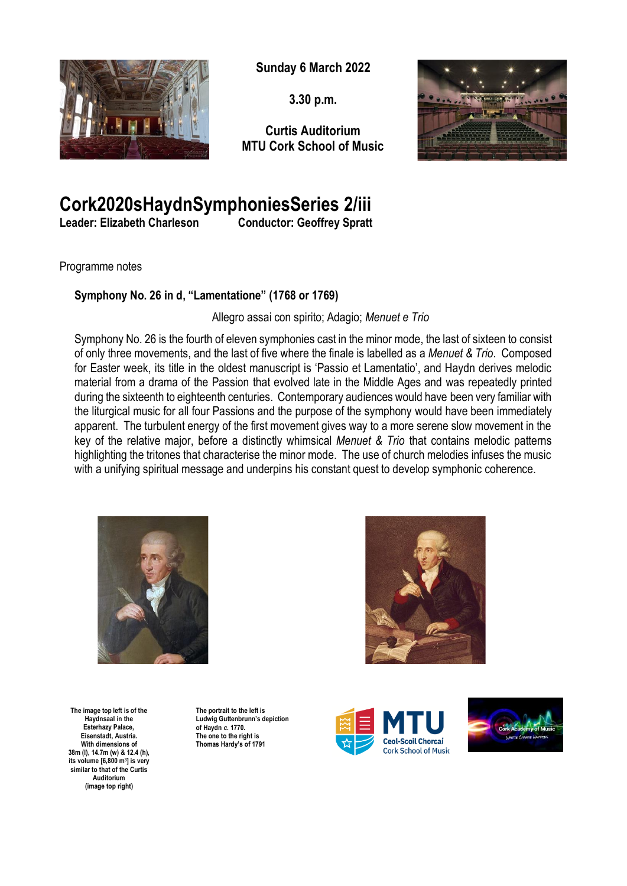

**Sunday 6 March 2022**

**3.30 p.m.**

**Curtis Auditorium MTU Cork School of Music**



# **Cork2020sHaydnSymphoniesSeries 2/iii**

**Leader: Elizabeth Charleson Conductor: Geoffrey Spratt**

Programme notes

#### **Symphony No. 26 in d, "Lamentatione" (1768 or 1769)**

#### Allegro assai con spirito; Adagio; *Menuet e Trio*

Symphony No. 26 is the fourth of eleven symphonies cast in the minor mode, the last of sixteen to consist of only three movements, and the last of five where the finale is labelled as a *Menuet & Trio*. Composed for Easter week, its title in the oldest manuscript is 'Passio et Lamentatio', and Haydn derives melodic material from a drama of the Passion that evolved late in the Middle Ages and was repeatedly printed during the sixteenth to eighteenth centuries. Contemporary audiences would have been very familiar with the liturgical music for all four Passions and the purpose of the symphony would have been immediately apparent. The turbulent energy of the first movement gives way to a more serene slow movement in the key of the relative major, before a distinctly whimsical *Menuet & Trio* that contains melodic patterns highlighting the tritones that characterise the minor mode. The use of church melodies infuses the music with a unifying spiritual message and underpins his constant quest to develop symphonic coherence.



**The image top left is of the Haydnsaal in the Esterhazy Palace, Eisenstadt, Austria. With dimensions of 38m (l), 14.7m (w) & 12.4 (h), its volume [6,800 m<sup>3</sup> ] is very similar to that of the Curtis Auditorium (image top right)**

**The portrait to the left is Ludwig Guttenbrunn's depiction of Haydn** *c***. 1770. The one to the right is Thomas Hardy's of 1791**





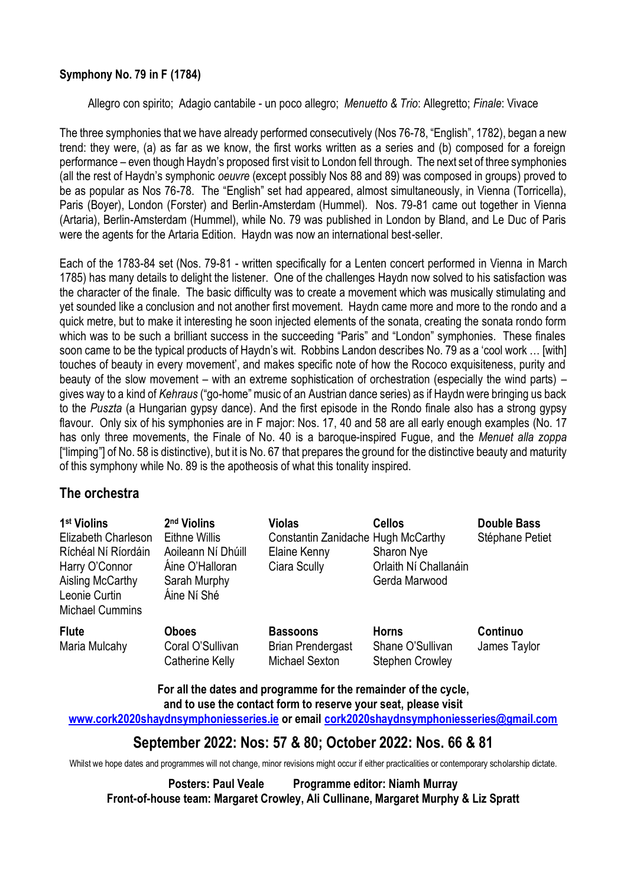#### **Symphony No. 79 in F [\(1784\)](https://en.wikipedia.org/wiki/1784_in_music)**

[Allegro](https://en.wikipedia.org/wiki/Tempo#Italian_tempo_markings) con spirito; Adagio cantabile - un poco [allegro;](https://en.wikipedia.org/wiki/Tempo#Italian_tempo_markings) *[Menuetto](https://en.wikipedia.org/wiki/Minuet) & Trio*: [Allegretto;](https://en.wikipedia.org/wiki/Tempo#Italian_tempo_markings) *Finale*: [Vivace](https://en.wikipedia.org/wiki/Tempo#Italian_tempo_markings)

The three symphonies that we have already performed consecutively (Nos 76-78, "English", 1782), began a new trend: they were, (a) as far as we know, the first works written as a series and (b) composed for a foreign performance – even though Haydn's proposed first visit to London fell through. The next set of three symphonies (all the rest of Haydn's symphonic *oeuvre* (except possibly Nos 88 and 89) was composed in groups) proved to be as popular as Nos 76-78. The "English" set had appeared, almost simultaneously, in Vienna (Torricella), Paris (Boyer), London (Forster) and Berlin-Amsterdam (Hummel). Nos. 79-81 came out together in Vienna (Artaria), Berlin-Amsterdam (Hummel), while No. 79 was published in London by Bland, and Le Duc of Paris were the agents for the Artaria Edition. Haydn was now an international best-seller.

Each of the 1783-84 set (Nos. 79-81 - written specifically for a Lenten concert performed in Vienna in March 1785) has many details to delight the listener. One of the challenges Haydn now solved to his satisfaction was the character of the finale. The basic difficulty was to create a movement which was musically stimulating and yet sounded like a conclusion and not another first movement. Haydn came more and more to the rondo and a quick metre, but to make it interesting he soon injected elements of the sonata, creating the sonata rondo form which was to be such a brilliant success in the succeeding "Paris" and "London" symphonies. These finales soon came to be the typical products of Haydn's wit. Robbins Landon describes No. 79 as a 'cool work … [with] touches of beauty in every movement', and makes specific note of how the Rococo exquisiteness, purity and beauty of the slow movement – with an extreme sophistication of orchestration (especially the wind parts) – gives way to a kind of *Kehraus* ("go-home" music of an Austrian dance series) as if Haydn were bringing us back to the *Puszta* (a Hungarian gypsy dance). And the first episode in the Rondo finale also has a strong gypsy flavour. Only six of his symphonies are in F major: Nos. 17, 40 and 58 are all early enough examples (No. 17 has only three movements, the Finale of No. 40 is a baroque-inspired Fugue, and the *Menuet alla zoppa* ["limping"] of No. 58 is distinctive), but it is No. 67 that prepares the ground for the distinctive beauty and maturity of this symphony while No. 89 is the apotheosis of what this tonality inspired.

### **The orchestra**

| 1 <sup>st</sup> Violins<br>Elizabeth Charleson<br>Ríchéal Ní Ríordáin<br>Harry O'Connor<br>Aisling McCarthy<br>Leonie Curtin<br><b>Michael Cummins</b> | 2 <sup>nd</sup> Violins<br>Eithne Willis<br>Aoileann Ní Dhúill<br>Áine O'Halloran<br>Sarah Murphy<br>Áine Ní Shé | Violas<br>Constantin Zanidache Hugh McCarthy<br>Elaine Kenny<br>Ciara Scully | <b>Cellos</b><br>Sharon Nye<br>Orlaith Ní Challanáin<br>Gerda Marwood | <b>Double Bass</b><br>Stéphane Petiet |
|--------------------------------------------------------------------------------------------------------------------------------------------------------|------------------------------------------------------------------------------------------------------------------|------------------------------------------------------------------------------|-----------------------------------------------------------------------|---------------------------------------|
| <b>Flute</b><br>Maria Mulcahy                                                                                                                          | <b>Oboes</b><br>Coral O'Sullivan<br><b>Catherine Kelly</b>                                                       | <b>Bassoons</b><br><b>Brian Prendergast</b><br><b>Michael Sexton</b>         | <b>Horns</b><br>Shane O'Sullivan<br><b>Stephen Crowley</b>            | Continuo<br>James Taylor              |

**For all the dates and programme for the remainder of the cycle, and to use the contact form to reserve your seat, please visit** 

**[www.cork2020shaydnsymphoniesseries.ie](http://www.cork2020shaydnsymphoniesseries.ie/) or email cork2020shaydnsymphoniesseries@gmail.com**

## **September 2022: Nos: 57 & 80; October 2022: Nos. 66 & 81**

Whilst we hope dates and programmes will not change, minor revisions might occur if either practicalities or contemporary scholarship dictate.

Posters: Paul Veale Programme editor: Niamh Murray **Front-of-house team: Margaret Crowley, Ali Cullinane, Margaret Murphy & Liz Spratt**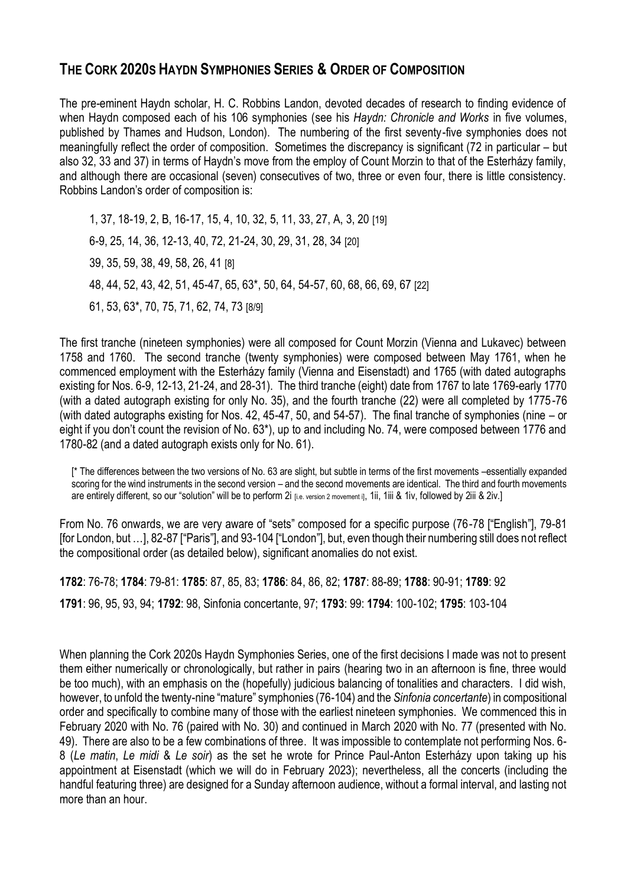## **THE CORK 2020S HAYDN SYMPHONIES SERIES & ORDER OF COMPOSITION**

The pre-eminent Haydn scholar, H. C. Robbins Landon, devoted decades of research to finding evidence of when Haydn composed each of his 106 symphonies (see his *Haydn: Chronicle and Works* in five volumes, published by Thames and Hudson, London). The numbering of the first seventy-five symphonies does not meaningfully reflect the order of composition. Sometimes the discrepancy is significant (72 in particular – but also 32, 33 and 37) in terms of Haydn's move from the employ of Count Morzin to that of the Esterházy family, and although there are occasional (seven) consecutives of two, three or even four, there is little consistency. Robbins Landon's order of composition is:

1, 37, 18-19, 2, B, 16-17, 15, 4, 10, 32, 5, 11, 33, 27, A, 3, 20 [19] 6-9, 25, 14, 36, 12-13, 40, 72, 21-24, 30, 29, 31, 28, 34 [20] 39, 35, 59, 38, 49, 58, 26, 41 [8] 48, 44, 52, 43, 42, 51, 45-47, 65, 63\*, 50, 64, 54-57, 60, 68, 66, 69, 67 [22] 61, 53, 63\*, 70, 75, 71, 62, 74, 73 [8/9]

The first tranche (nineteen symphonies) were all composed for Count Morzin (Vienna and Lukavec) between 1758 and 1760. The second tranche (twenty symphonies) were composed between May 1761, when he commenced employment with the Esterházy family (Vienna and Eisenstadt) and 1765 (with dated autographs existing for Nos. 6-9, 12-13, 21-24, and 28-31). The third tranche (eight) date from 1767 to late 1769-early 1770 (with a dated autograph existing for only No. 35), and the fourth tranche (22) were all completed by 1775-76 (with dated autographs existing for Nos. 42, 45-47, 50, and 54-57). The final tranche of symphonies (nine – or eight if you don't count the revision of No. 63\*), up to and including No. 74, were composed between 1776 and 1780-82 (and a dated autograph exists only for No. 61).

[\* The differences between the two versions of No. 63 are slight, but subtle in terms of the first movements –essentially expanded scoring for the wind instruments in the second version – and the second movements are identical. The third and fourth movements are entirely different, so our "solution" will be to perform 2i [i.e. version 2 movement i], 1ii, 1iii & 1iv, followed by 2iii & 2iv.]

From No. 76 onwards, we are very aware of "sets" composed for a specific purpose (76-78 ["English"], 79-81 [for London, but …], 82-87 ["Paris"], and 93-104 ["London"], but, even though their numbering still does not reflect the compositional order (as detailed below), significant anomalies do not exist.

**1782**: 76-78; **1784**: 79-81: **1785**: 87, 85, 83; **1786**: 84, 86, 82; **1787**: 88-89; **1788**: 90-91; **1789**: 92 **1791**: 96, 95, 93, 94; **1792**: 98, Sinfonia concertante, 97; **1793**: 99: **1794**: 100-102; **1795**: 103-104

When planning the Cork 2020s Haydn Symphonies Series, one of the first decisions I made was not to present them either numerically or chronologically, but rather in pairs (hearing two in an afternoon is fine, three would be too much), with an emphasis on the (hopefully) judicious balancing of tonalities and characters. I did wish, however, to unfold the twenty-nine "mature" symphonies (76-104) and the *Sinfonia concertante*) in compositional order and specifically to combine many of those with the earliest nineteen symphonies. We commenced this in February 2020 with No. 76 (paired with No. 30) and continued in March 2020 with No. 77 (presented with No. 49). There are also to be a few combinations of three. It was impossible to contemplate not performing Nos. 6- 8 (*Le matin*, *Le midi* & *Le soir*) as the set he wrote for Prince Paul-Anton Esterházy upon taking up his appointment at Eisenstadt (which we will do in February 2023); nevertheless, all the concerts (including the handful featuring three) are designed for a Sunday afternoon audience, without a formal interval, and lasting not more than an hour.